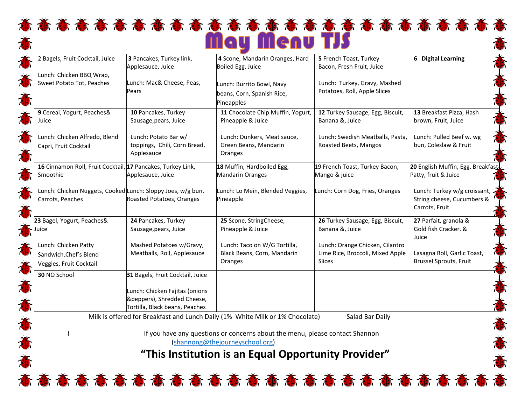## 奋奋奋奋奋奋奋奋奋奋奋奋奋奋奋奋奋奋奋奋奋奋 May Menu TJS

| 2 Bagels, Fruit Cocktail, Juice                             | 3 Pancakes, Turkey link,         | 4 Scone, Mandarin Oranges, Hard   | 5 French Toast, Turkey                                       | 6 Digital Learning                                           |
|-------------------------------------------------------------|----------------------------------|-----------------------------------|--------------------------------------------------------------|--------------------------------------------------------------|
|                                                             | Applesauce, Juice                | Boiled Egg, Juice                 | Bacon, Fresh Fruit, Juice                                    |                                                              |
| Lunch: Chicken BBQ Wrap,                                    |                                  |                                   |                                                              |                                                              |
| Sweet Potato Tot, Peaches                                   | Lunch: Mac& Cheese, Peas,        | Lunch: Burrito Bowl, Navy         | Lunch: Turkey, Gravy, Mashed<br>Potatoes, Roll, Apple Slices |                                                              |
|                                                             | Pears                            | beans, Corn, Spanish Rice,        |                                                              |                                                              |
|                                                             |                                  | Pineapples                        |                                                              |                                                              |
| 9 Cereal, Yogurt, Peaches&                                  | 10 Pancakes, Turkey              | 11 Chocolate Chip Muffin, Yogurt, | 12 Turkey Sausage, Egg, Biscuit,                             | 13 Breakfast Pizza, Hash                                     |
| Juice                                                       | Sausage, pears, Juice            | Pineapple & Juice                 | Banana &, Juice                                              | brown, Fruit, Juice                                          |
| Lunch: Chicken Alfredo, Blend                               | Lunch: Potato Bar w/             | Lunch: Dunkers, Meat sauce,       | Lunch: Swedish Meatballs, Pasta,                             | Lunch: Pulled Beef w. wg                                     |
| Capri, Fruit Cocktail                                       | toppings, Chili, Corn Bread,     | Green Beans, Mandarin             | Roasted Beets, Mangos                                        | bun, Coleslaw & Fruit                                        |
|                                                             | Applesauce                       | Oranges                           |                                                              |                                                              |
| 16 Cinnamon Roll, Fruit Cocktail, 17 Pancakes, Turkey Link, |                                  | 18 Muffin, Hardboiled Egg,        | 19 French Toast, Turkey Bacon,                               | 20 English Muffin, Egg, Breakfast                            |
| Smoothie                                                    | Applesauce, Juice                | <b>Mandarin Oranges</b>           | Mango & juice                                                | Patty, fruit & Juice                                         |
| Lunch: Chicken Nuggets, Cooked Lunch: Sloppy Joes, w/g bun, |                                  | Lunch: Lo Mein, Blended Veggies,  | Lunch: Corn Dog, Fries, Oranges                              | Lunch: Turkey w/g croissant,                                 |
| Carrots, Peaches                                            | Roasted Potatoes, Oranges        | Pineapple                         |                                                              | String cheese, Cucumbers &                                   |
|                                                             |                                  |                                   |                                                              | Carrots, Fruit                                               |
| 23 Bagel, Yogurt, Peaches&                                  | 24 Pancakes, Turkey              | 25 Scone, StringCheese,           | 26 Turkey Sausage, Egg, Biscuit,                             | 27 Parfait, granola &                                        |
|                                                             | Sausage, pears, Juice            | Pineapple & Juice                 | Banana &, Juice                                              | Gold fish Cracker. &                                         |
|                                                             |                                  |                                   |                                                              | Juice                                                        |
| Lunch: Chicken Patty                                        | Mashed Potatoes w/Gravy,         | Lunch: Taco on W/G Tortilla,      | Lunch: Orange Chicken, Cilantro                              |                                                              |
| Sandwich, Chef's Blend                                      | Meatballs, Roll, Applesauce      | Black Beans, Corn, Mandarin       | Lime Rice, Broccoli, Mixed Apple<br>Slices                   | Lasagna Roll, Garlic Toast,<br><b>Brussel Sprouts, Fruit</b> |
| Veggies, Fruit Cocktail                                     |                                  | Oranges                           |                                                              |                                                              |
| 30 NO School                                                | 31 Bagels, Fruit Cocktail, Juice |                                   |                                                              |                                                              |
|                                                             | Lunch: Chicken Fajitas (onions   |                                   |                                                              |                                                              |
|                                                             | &peppers), Shredded Cheese,      |                                   |                                                              |                                                              |
|                                                             | Tortilla, Black beans, Peaches   |                                   |                                                              |                                                              |

Milk is offered for Breakfast and Lunch Daily (1% White Milk or 1% Chocolate) Salad Bar Daily

I If you have any questions or concerns about the menu, please contact Shannon [\(shannong@thejourneyschool.org\)](mailto:shannong@thejourneyschool.org)

 **"This Institution is an Equal Opportunity Provider"**

苏苏苏苏苏苏苏苏苏苏苏苏苏苏苏苏苏苏苏苏苏苏苏苏苏